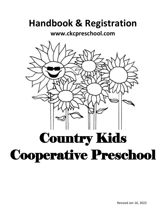# **Handbook & Registration**

**[www.ckcpreschool.com](http://www.ckcpreschool.com/)**



Revised Jan 16, 2022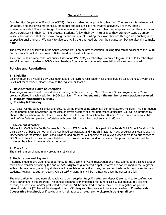# **General Information**

Country Kids Cooperative Preschool (CKCP) offers a student led approach to learning. The program is balanced with language, fine and gross motor skills, emotional and social skills and creative activities. Teacher, Shelby Rheaume loosely follows the Reggio Emilia educational model. This way of learning emphasizes that the child is an active participant in their learning process. Students follow their own interests as they are not viewed as empty vessels, but rather full of their own thoughts and capable of building their own theories through an enriching and supportive environment. We want to give each child a great head start on their education but we also aim to make it fun.

The preschool is housed within the South Corman Park Community Association Building (log cabin) adjacent to the South Corman Park School at the corner of Baker Road and Preston Avenue.

A current South Corman Park Community Association ("SCPCA") membership is required to join the CKCP. Memberships are \$25 per year (payable to SCPCA). Memberships from another community association will also be honoured.

# **Policies and Regulations**

# **1. Eligibility**

Children must be 3 years old by December 31st of the current registration year and should be toilet trained. If your child is still not toilet trained, please speak to the registrar or teacher.

# **2. Days Offered & Hours of Operation**

Two programs are offered to our students running September through May. There is a 3-day program and a 2-day program offered in each week from **9:00-11:45am. This is dependant on the number of registrations recieved.**

- 1) **Monday, Wednesday & Friday**
- 2) **Tuesday & Thursday**

CKCP observes the same calendar and closures as the Prairie Spirit School Division for statutory holidays. This information will be printed in the newsletter. In the case of severe weather or other unforeseen difficulties, you will be informed by phone if the preschool will be closed. Your child should arrive at preschool by 9:00am. Please remain with your child until he/she feels completely comfortable with being left there. Preschool ends at 11:45 am.

# **3. Inclement Weather**

Adjacent to CKCP is the South Corman Park School (SCP School), which is a part of the Prairie Spirit School Division. It is their policy that buses do not run if the combined temperature and wind chill factor is -40 $\degree$ C or below at 6:00am. CKCP is independent of the Prairie Spirit School Division and preschool will operate as usual even when there is no bus service to SCP School. Preschool may be cancelled due to poor road conditions and in that event, the preschool families will be contacted by a board member via text or email.

# **4. Class Size**

The maximum enrolment in any program is 16 children.

# **5. Registration and Payment**

Returning students are given first opportunity for the upcoming year's registration and must submit both their registration form and e-transfer deposit by the end of **February** to be guaranteed a spot. If forms are not returned to the Registrar within this time period, returning students will be registered on a first come, first served basis, as is the process for new students. Regular registration begins February**1 st** . Waiting lists will be maintained once the classes are full.

The registration form and non-refundable classroom supplies fee (\$101 e-transfer deposit) are required to confirm your child's enrolment in the program. The annual cooperative membership fee, fundraiser buy out cheque, toy cleaning cheque, annual tuition and/or post-dated cheques MUST be submitted to and received by the registrar on parent orientation day. A \$20 fee will be charged on any NSF cheques. Cheques should be made payable to **Country Kids Cooperative Preschool**, or if paying a tuition all at once an e-transfer to **ckcpregistrar@gmail.com**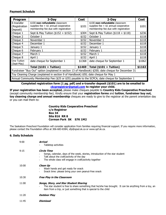# **Payment Schedule**

| Program                                                                                              | $3-Day$                                                                                                           | <b>Cost</b> | 2-Day                                                                                                             | Cost   |
|------------------------------------------------------------------------------------------------------|-------------------------------------------------------------------------------------------------------------------|-------------|-------------------------------------------------------------------------------------------------------------------|--------|
| E-transfer<br>(Registration<br>Deposit)                                                              | \$100 non-refundable classroom<br>supplies fee $+$ \$1 annual cooperative<br>membership fee due with registration | \$101       | \$100 non-refundable classroom<br>supplies fee $+$ \$1 annual cooperative<br>membership fee due with registration | \$101  |
| Cheque 1                                                                                             | Sept & May Tuition $($152 + $152)$                                                                                | \$304       | Sept & May Tuition $($118 + $118)$                                                                                | \$236  |
| Cheque 2                                                                                             | October 1                                                                                                         | \$152       | October 1                                                                                                         | \$118  |
| Cheque 3                                                                                             | November 1                                                                                                        | \$152       | November 1                                                                                                        | \$118  |
| Cheque 4                                                                                             | December 1                                                                                                        | \$152       | December 1                                                                                                        | \$118  |
| Cheque 5                                                                                             | January 1                                                                                                         | \$152       | January 1                                                                                                         | \$118  |
| Cheque 6                                                                                             | February 1                                                                                                        | \$152       | February 1                                                                                                        | \$118  |
| Cheque 7                                                                                             | March 1                                                                                                           | \$152       | March 1                                                                                                           | \$118  |
| Cheque 8                                                                                             | April 1                                                                                                           | \$152       | April 1                                                                                                           | \$118  |
| One Tuition<br>(Sept-May)                                                                            | date cheque for September 1                                                                                       | \$1368      | date cheque for September 1                                                                                       | \$1062 |
|                                                                                                      | Total $($101 + T$ uition)                                                                                         | \$1469      | Total $($101 + T$ uition)                                                                                         | \$1163 |
| Fundraiser "Buy Out" option (explained in section 13 of Handbook) \$200; date cheque for December 31 |                                                                                                                   |             |                                                                                                                   |        |
| Toy Cleaning Charge (explained in section 9 of Handbook) \$50; date cheque for May 1                 |                                                                                                                   |             |                                                                                                                   |        |
| Annual Community Membership Fee (\$25 or \$35) payable to the SCPCA; date cheque for September 1     |                                                                                                                   |             |                                                                                                                   |        |

**Completed registration form (1 pg. pdf) and e-transfer deposit (\$101) are to be emailed to [ckcpregistrar@gmail.com](mailto:ckcpregistrar@gmail.com) to register your child.**

**If your registration has been accepted,** please make cheques payable to **Country Kids Cooperative Preschool** (except community membership fee). Kindly ensure that your **registration forms** and **tuition**, **fundraiser buy out, toy cleaning charge and annual membership** cheques are ready to give to the registrar at the parent orientation day or you can mail them to:

#### **Country Kids Cooperative Preschool c/o Registrar Box 34 Site 816 RR 8 Corman Park SK S7K 1M2**

The Saskatoon Preschool Foundation will consider application from families requiring financial support. If you require more information, please contact the Foundation office at 306-683-8384, sfp@spsd.sk.ca or www.spf.sk.ca.

# **6. Daily Schedule**

| 9:00  | Arrival<br>Tabletop activities                                                                                                                                                                                              |
|-------|-----------------------------------------------------------------------------------------------------------------------------------------------------------------------------------------------------------------------------|
| 9:15  | Circle Time<br>Songs, calendar, days of the week, stories, introduction of the star student<br>Talk about the craft/activity of the day<br>The whole class will engage in craft/activity together                           |
| 10:00 | Clean Up<br>Wash hands and get ready for snack<br>Snack time: please bring your own peanut-free snack                                                                                                                       |
| 10:30 | <b>Free Play in the Classroom</b>                                                                                                                                                                                           |
| 11:00 | <b>Songs, Story, and Star Student Sharing</b><br>The star student is free to share something that he/she has brought. It can be anything from a toy, an<br>item from a trip, or just something that is special to the child |
| 11:20 | <b>Outdoor Play</b>                                                                                                                                                                                                         |
| 11:45 | Dismissal                                                                                                                                                                                                                   |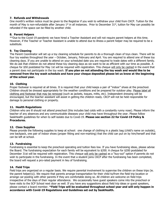# **7. Refunds and Withdrawals**

One month's written notice must be given to the Registrar if you wish to withdraw your child from CKCP. Tuition for the month of May is non-refundable after January  $1<sup>st</sup>$  in all instances. Prior to December 31<sup>st</sup>, tuition for May can possibly be refunded if the space can be filled by another child.

# **8. Parent Helpers**

\*\*Due to the Covid-19 pandemic we have hired a Teacher Assistant and will not require parent helpers at this time. However, if the Teacher or Teacher Assistant is unable to attend due to illness a parent helper may be required to be a substitute.

# **9. Toy Cleaning**

The Parent Coordinator will set up a toy cleaning schedule for parents to do a thorough clean of toys clean. There will be four toy washes throughout the year – October, January, February and April. You are required to attend one of these toy cleaning days. If you are unable to attend on your scheduled date you are required to trade dates with a different family. We do ask that children do not attend these toy cleaning days as we want to be as efficient with our time as possible. A cheque for \$50 postdated for May 1st will be required with registration. This cheque will only be cashed in the event that a parent does not participate in the toy wash. **If you plan on not attending the toy wash and would like to be removed from the toy wash schedule and have your cheque deposited please let us know at the beginning of the school year.**

# **10. Clothing**

Proper footwear is required at all times. It is required that your child keeps a pair of "indoor" shoes at the preschool. Children should be dressed appropriately for the weather conditions and be prepared for outdoor play. Please label all clothing and footwear that may be removed (such as jackets, toques, mitts, etc). Independent dressing will be encouraged, but the teacher assistant will assist in getting the children ready. CKCP will not be held responsible for damage to personal clothing or property.

#### **11. Health Regulations**

Children who are ill should not attend preschool (this includes bad colds with a constantly runny nose). Please inform the teacher of any absences and any communicable diseases your child may have throughout the year. Please follow SaskHealth guidelines for when to self-isolate due to Covid-19. **Please see section 22 for Covid-19 Policy & Procedures.** 

# **12. Class Supplies**

Please provide the following supplies to keep at school: one change of clothing in a plastic bag (child's name on outside), one backpack, one pair of indoor shoes (proper fitting and non-marking) that the child can put on by him/herself and that can be left at school.

# **13. Fundraising**

Fundraising is essential to keep the preschool operating and tuition fees low. If you have fundraising ideas, please advise the Board. The fundraising expectation for each family will be equivalent to \$200. A cheque for \$200 postdated for December 31st will be required with registration. This cheque will only be cashed as a "buy-out" option if parents do not wish to participate in the fundraising. In the event that a student joins CKCP after the fundraising has been completed, the board will request a pro-rated payment in lieu of fundraising.

# **14. Field Trips**

Field trips are organized on a regular basis. We require parental involvement to supervise the children on these trips (ie. the parent helper(s)). We require that parents arrange transportation for their child to/from the field trip location or arrange car-pooling with other parents if they are comfortable doing so. All children are welcome on field trips irrespective of the days of their regular attendance. We occasionally have guest speakers come into the preschool or have visits to the SCP School next door as well. If you have any suggestions about field trip ideas or guest speakers, please contact a board member. **\*Field Trips will be evaluated throughout school year and will only happen in accordance with Covid-19 Regulations and Guidelines set out by SaskHealth.**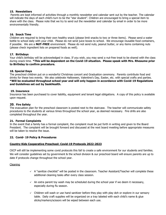# **15. Newsletters**

Parents are kept informed of activities through a monthly newsletter and calendar sent out by the teacher. The calendar will indicate the days of each child's turn to be the "star student". Children are encouraged to bring a special item to share with the class. Please note that we try to send out the newsletter and calendar by email in order to be more environmentally friendly.

# **16. Snack Time**

Children are required to bring their own healthy snack (please limit snacks to two or three items). Please send a water bottle to school daily with your child. Please do not send juice boxes to school. We encourage reusable food containers, if possible. We are a **NUT-FREE** environment. Please do not send nuts, peanut butter, or any items containing nuts (please check ingredient lists on prepared foods as well).

# **17. Birthdays**

Your child's birthday will be acknowledged in class. If you wish, you may send a nut-free treat to be shared with the class during snack time. **\*This will be dependent on the Covid-19 situation. Please speak with Mrs. Rheaume prior to Birthday to confirm procedure.**

# **18. Special Days**

The preschool children put on a wonderful Christmas concert and Graduation ceremony. Parents contribute food and drinks for these two events. We also celebrate Halloween, Valentine's Day, Easter, etc. with special crafts and parties. **\*Will be evaluated throughout school year and will only happen in accordance with Covid-19 Regulations and Guidelines set out by SaskHealth.**

# **19. Insurance**

Insurance has been purchased to cover liability, equipment and tenant legal obligations. A copy of this policy is available upon request.

# **20. Fire Safety**

The evacuation plan for the preschool classroom is posted next to the staircase. The teacher will communicate safety procedures to the students at various times throughout the school year, as deemed necessary. Fire drills are also completed throughout the year.

# **21. Formal Complaints**

In the event that a family has a formal complaint, the complaint must be put forth in writing and given to the Board President. The complaint will be brought forward and discussed at the next board meeting before appropriate measures will be taken to resolve the issue.

# **22. Covid- 19 Policy & Procedures**

# **Country Kids Cooperative Preschool: Covid-19 Protocols 2022-2023**

CKCP will still be implementing some covid protocols this fall to create a safe environment for our students and families. We will consider guidelines set by government & the school division & our preschool board will ensure parents are up to date if protocols change throughout the school year.

# **Cleaning**

- $\vee$  A "sanitize checklist" will be posted in the classroom. Teacher Assistant/Teacher will complete these additional cleaning tasks after every class session.
- $\vee$  An extra parent toy wash may be scheduled during the school year if we deem it necessary, especially during flu season.
- $\vee$  Children will wash or use hand sanitizer before they play with play doh or explore in our sensory table. Daily craft supplies will be organized on a tray labeled with each child's name & glue sticks/markers/scissors will be wiped between each use.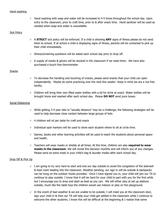# Hand washing

 $\vee$  Hand washing with soap and water will be increased to 4-5 times throughout the school day. Upon entry to the classroom, prior to craft time, prior to & after snack time. Hand sanitizer will be used as needed when soap and water is unavailable.

#### **Sick Policy**

- $\vee$  A **STRICT** sick policy will be enforced. If a child is showing **ANY** signs of illness please do not send them to school. If at school a child is displaying signs of illness, parents will be contacted to pick up their child immediately.
- $\vee$  Illness/screening questions will be asked each school day prior to drop off.
- $\vee$  A supply of masks & gloves will be stocked in the classroom if we need them. We have also purchased a touch free thermometer

#### Snacks

- $\vee$  To decrease the handling and touching of snacks, please send snacks that your child can open independently. Maybe do some practicing over the next few weeks! Keep in mind we are a nut free facility.
- ✓ Children will bring their own filled water bottles with a lid for drink at snack. Water bottles will be brought home and washed after each school day. Please **DO NOT** send juice boxes.

#### Social Distancing

- $\vee$  While getting 3-4 year olds to "socially distance" may be a challenge, the following strategies will be used to help decrease close contact between large groups of kids:
- $\sqrt{4}$  children will sit per table for craft and snack
- $\checkmark$  Individual spot markers will be used to show each student where to sit at circle time.
- $\checkmark$  Games, books and other learning activities will be used to teach the students about personal space and health.
- ✓ Teachers will wear masks or shields at all times. At this time, children are also **required to wear masks in the classroom**. We will revisit this decision monthly and will inform you of any changes. Please send an extra mask in your child's bag & launder masks after each school day.

#### Drop Off & Pick Up

- $\checkmark$  I am going to try very hard to start and end our day outside to avoid the congestion of the stairwell & boot room leading into the classroom. Weather pending, our sign in will be outside & backpacks can be hung on the outdoor hooks provided. Once I have signed you in, your child will join our TA to continue to play outside. I know that it will be hard for your child to part with you for the first while but I encourage you to drop and dash as best as you can. We will either play at set up stations outside, much like the table toys the children would use indoors or play on the playground.
- $\vee$  In the event of bad weather & we are unable to be outside, I will meet you at the classroom door, sign your child in & then our TA will help your child get settled in the classroom while I continue to welcome the other students. I know this will be difficult at the beginning & I realize that some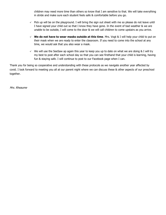children may need more time than others so know that I am sensitive to that. We will take everything in stride and make sure each student feels safe & comfortable before you go.

- ✓ Pick up will be on the playground. I will bring the sign out sheet with me so please do not leave until I have signed your child out so that I know they have gone. In the event of bad weather & we are unable to be outside, I will come to the door & we will call children to come upstairs as you arrive.
- ✓ **We do not have to wear masks outside at this time**. Mrs. Vogt & I will help your child to put on their mask when we are ready to enter the classroom. If you need to come into the school at any time, we would ask that you also wear a mask.
- $\vee$  We will use the SeeSaw ap again this year to keep you up to date on what we are doing & I will try my best to post after each school day so that you can see firsthand that your child is learning, having fun & staying safe. I will continue to post to our Facebook page when I can.

Thank you for being so cooperative and understanding with these protocols as we navigate another year affected by covid. I look forward to meeting you all at our parent night where we can discuss these & other aspects of our preschool together.

Mrs. Rheaume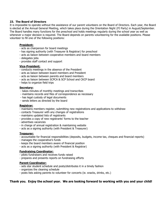# **23. The Board of Directors**

It is impossible to operate without the assistance of our parent volunteers on the Board of Directors. Each year, the Board is elected at the Annual General Meeting, which takes place during the Orientation Night (PJ Party) in August/September. The Board handles many functions for the preschool and holds meetings regularly during the school year as well as whenever a major decision is required. The Board depends on parents volunteering for the available positions. Please volunteer to fill one of the following positions:

# **President:**

- acts as chairperson for board meetings
- has signing authority (with Treasurer & Registrar) for preschool
- acts as liaison between cooperative members and board members
- delegates jobs
- provides staff contact and support

#### **Vice-President:**

- conducts meetings in the absence of the President
- acts as liaison between board members and President
- acts as liaison between parents and board members
- acts as liaison between SCPCA & SCP School and CKCP board
- helps to organize field trips

# **Secretary:**

- takes minutes of monthly meetings and transcribes
- maintains records and files of correspondence as necessary
- has legal custody of legal documents
- sends letters as directed by the board

#### **Registrar:**

- maintains members register, submitting new registrations and applications to withdraw
- contacts Treasurer with any changes of registrations
- maintains updated lists of registrants
- provides a copy of new registrants' forms to the teacher
- advertises vacancies
- in charge of annual registration & maintaining website
- acts as a signing authority (with President & Treasurer)

# **Treasurer:**

- accountable for financial responsibilities (deposits, budgets, income tax, cheques and financial reports)
- manages the cooperative's funds
- keeps the board members aware of financial position
- acts as a signing authority (with President & Registrar)

# **Fundraising Coordinator:**

- pilots fundraisers and receives funds raised
- prepares and presents reports on fundraising efforts

# **Parent Coordinator:**

- sets star student schedule and posts/distributes it in a timely fashion
- organizes the cleaning schedule
- posts lists asking parents to volunteer for concerts (ie. snacks, drinks, etc.)

# **Thank you. Enjoy the school year. We are looking forward to working with you and your child!**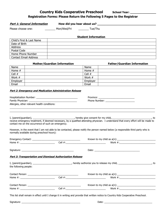# **Country Kids Cooperative Preschool School Year: \_\_\_\_\_\_\_\_\_\_\_\_\_\_\_\_\_\_\_\_\_\_\_\_\_\_\_\_\_\_\_ Registration Forms: Please Return the Following 5 Pages to the Registrar**

Part 1: General Information **How did you hear about us?** \_\_\_\_\_\_\_\_\_\_\_\_\_\_\_\_\_\_\_\_\_\_\_\_\_

Please choose one: \_\_\_\_\_\_\_ Mon/Wed/Fri \_\_\_\_\_\_\_ Tue/Thu

# *<u>Student Information</u>* **<b>CONSIDERITY IN STATE STATE**

| Child's First & Last Name    |  |
|------------------------------|--|
| Date of Birth                |  |
| <b>Address</b>               |  |
| Postal Code                  |  |
| Home Phone Number            |  |
| <b>Contact Email Address</b> |  |

|          | <b>Mother/Guardian Information</b> |          | <b>Father/Guardian Information</b> |
|----------|------------------------------------|----------|------------------------------------|
| Name     |                                    | Name     |                                    |
| Home $#$ |                                    | Home $#$ |                                    |
| Cell #   |                                    | Cell #   |                                    |
| Work #   |                                    | Work #   |                                    |
| Employer |                                    | Employer |                                    |
| Email    |                                    | Email    |                                    |

#### **Part 2: Emergency and Medication Administration Release**

| Allergies, other relevant health conditions:               |  |                                                                                                                                      |  |  |
|------------------------------------------------------------|--|--------------------------------------------------------------------------------------------------------------------------------------|--|--|
|                                                            |  |                                                                                                                                      |  |  |
| contact me on the occurrence of such an emergency.         |  | receive emergency treatment, if deemed necessary, by a qualified attending physician. I understand that every effort will be made to |  |  |
| normally available during preschool hours):                |  | However, in the event that I am not able to be contacted, please notify the person named below (a responsible third party who is     |  |  |
|                                                            |  |                                                                                                                                      |  |  |
|                                                            |  |                                                                                                                                      |  |  |
|                                                            |  |                                                                                                                                      |  |  |
| Part 3: Transportation and Dismissal Authorization Release |  |                                                                                                                                      |  |  |
| the following people:                                      |  | I, (parent/guardian), _________________________________, hereby authorize you to release my child, __________________________, to    |  |  |
|                                                            |  |                                                                                                                                      |  |  |
|                                                            |  |                                                                                                                                      |  |  |
|                                                            |  |                                                                                                                                      |  |  |
|                                                            |  |                                                                                                                                      |  |  |
|                                                            |  | This list shall remain in effect until I change it in writing and provide that written notice to Country Kids Cooperative Preschool. |  |  |
| Signature:                                                 |  | Date:                                                                                                                                |  |  |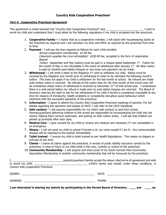# **Country Kids Cooperative Preschool**

# **Part 4: Cooperative Preschool Agreement**

This agreement is made between the "Country Kids Cooperative Preschool" and \_\_\_\_\_\_\_\_\_\_\_\_\_\_\_\_\_\_\_\_\_\_\_\_\_\_\_\_. I wish to enroll my child and understand that I must abide by the following regulations if my child is accepted into the preschool:

- 1. **Cooperative Family –** I realize that as a cooperative member, I will assist with housekeeping duties at the Preschool as required and I will volunteer my time and effort as required by the preschool from time to time.
- 2. **Payment -** I will pay the fees required as follows for each child enrolled:
	- Annual cooperative membership: \$1.00 fee.

Classroom supplies fee (non-refundable): \$100.00 fee, accepted in the form of registration deposit

Tuition: September and May tuitions must be paid in a cheque dated September  $1<sup>st</sup>$ . Tuition for the month of May is not refundable in the event of withdrawal after January  $1<sup>st</sup>$ . All other tuition is paid by monthly post-dated cheques or one lump sum payment can be made.

- 3. **Withdrawal -** I will write a letter to the Registrar if I wish to withdraw my child. Notice must be received by the Registrar one month prior to withdrawal in order to be refunded the following month's tuition. This does not apply if my child is withdrawn for the last month of school. No refunds are made until written notice is received. No refunds of the tuition fees for the final month of the school year will be considered unless notice of withdrawal is received by December  $31<sup>st</sup>$  of that school year. I understand there is a wait period before my refund is made and my post-dated cheques are returned. The Board of Directors reserves the right to ask for the withdrawal of my child if he/she is considered unsuitable at any time for reasons of immaturity, health problems or consistently disruptive social behaviour which interferes with the successful operation of the preschool.
- 4. **Information -** I agree to attend the Country Kids Cooperative Preschool meetings of parents. For full details regarding the operation and bylaws of CKCP, I will refer to the CKCP Handbook
- 5. **Safe conduct -** I will assume responsibility for my child's safe conduct to and from school. Parents/guardians delivering children to the school are responsible for accompanying the child into the school, helping them remove outerwear, and putting on their indoor shoes. I will see that children are picked up promptly after each class.
- 6. **Medical Care -** I give consent for my child to receive any medical care necessary if I am unavailable in an emergency.
- 7. **Illness -** I will not send my child to school if he/she is ill, nor come myself if I am ill. Any communicable disease will be reported to the teacher immediately.
- 8. **Toilet trained** I ensure my child is toilet trained as per Health Regulations. This means no diapers or pull-ups of any kind.
- 9. **Claims -** I waive all claims against the preschool, in excess of public liability insurance carried by the preschool, in case of injury to my child while in the care, custody or control of the preschool.
- 10. **Community Membership -** I will acquire and show proof of my South Corman Park Community Association Membership or another community membership that will be honoured by the preschool.

| <u> 1980 - Jan Barbara, martin a shekara 1980 - An tsa a tsa a tsa a tsa a tsa a tsa a tsa a tsa a tsa a tsa a t</u>                                                                                                           | (parent/guardian) hereby accept the above cited terms of agreement and wish                                                                                                                                                    |
|--------------------------------------------------------------------------------------------------------------------------------------------------------------------------------------------------------------------------------|--------------------------------------------------------------------------------------------------------------------------------------------------------------------------------------------------------------------------------|
|                                                                                                                                                                                                                                | (child's name) and myself, under these conditions, in                                                                                                                                                                          |
| Country Kids Cooperative Preschool.                                                                                                                                                                                            |                                                                                                                                                                                                                                |
|                                                                                                                                                                                                                                | DATE: the contract of the contract of the contract of the contract of the contract of the contract of the contract of the contract of the contract of the contract of the contract of the contract of the contract of the cont |
| ADDRESS: AND THE CONTROL OF THE CONTROL OF THE CONTROL OF THE CONTROL OF THE CONTROL OF THE CONTROL OF THE CONTROL OF THE CONTROL OF THE CONTROL OF THE CONTROL OF THE CONTROL OF THE CONTROL OF THE CONTROL OF THE CONTROL OF |                                                                                                                                                                                                                                |

**I am interested in sharing my talents by participating in the Parent Board of Directors. \_\_\_\_ yes \_\_\_\_ no**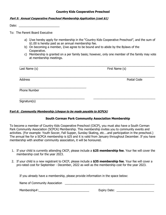# **Country Kids Cooperative Preschool**

# **Part 5: Annual Cooperative Preschool Membership Application (cost \$1)**

Date:  $\Box$ 

To: The Parent Board Executive

- a) I/we hereby apply for membership in the "Country Kids Cooperative Preschool", and the sum of \$1.00 is hereby paid as an annual membership fee.
- b) On becoming a member, I/we agree to be bound and to abide by the Bylaws of the Cooperative.
- c) Membership is granted on a per family basis; however, only one member of the family may vote at membership meetings.

| Last Name (s) | First Name (s) |
|---------------|----------------|
| Address       | Postal Code    |
| Phone Number  |                |
| Signature(s)  |                |

# **Part 6: Community Membership (cheque to be made payable to SCPCA)**

# **South Corman Park Community Association Membership**

To become a member of Country Kids Cooperative Preschool (CKCP), you must also have a South Corman Park Community Association (SCPCA) Membership. This membership invites you to community events and activities. (For example: Youth Soccer, Fall Supper, Sunday Skating, etc….and participation in the preschool.) The annual fee for a SCPCA membership is \$25 and it is valid from January throughout December. If you have membership with another community association, it will be honoured.

- 1. If your child is currently attending CKCP, please include a **\$25 membership fee**. Your fee will cover the membership cost for the year 2023.
- 2. If your child is a new registrant to CKCP, please include a **\$35 membership fee**. Your fee will cover a pro-rated cost for September - December, 2022 as well as the membership cost for the year 2023.

If you already have a membership, please provide information in the space below:

Name of Community Association \_\_\_\_\_\_\_\_\_\_\_\_\_\_\_\_\_\_\_\_\_\_\_\_\_\_\_\_\_\_\_\_\_\_\_\_\_\_\_\_\_\_\_\_\_\_\_\_\_\_\_\_\_\_\_ Membership#:\_\_\_\_\_\_\_\_\_\_\_\_\_\_\_\_\_\_\_\_\_\_\_\_\_\_\_\_\_\_\_ Expiry Date: \_\_\_\_\_\_\_\_\_\_\_\_\_\_\_\_\_\_\_\_\_\_\_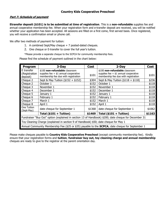# **Part 7: Schedule of payment**

**Etransfer deposit (\$101) is to be submitted at time of registration**. This is a **non-refundable** supplies fee and annual cooperative membership fee. When your registration form and e-transfer deposit are received, you will be notified whether your application has been accepted. All sessions are filled on a first come, first served basis. Once registered, you will receive a confirmation email or phone call.

We offer two methods of payment for tuition:

- 1. A combined Sept/May cheque + 7 posted-dated cheques.
- 2. One cheque or E-transfer to cover the full year's tuition.

\*Please provide a separate cheque to the SCPCA for community membership fees.

Please find the schedule of payment outlined in the chart below:

| Program                                                                                                  | $3-Day$                                                                         | <b>Cost</b> | $2-Day$                                                                         | Cost   |
|----------------------------------------------------------------------------------------------------------|---------------------------------------------------------------------------------|-------------|---------------------------------------------------------------------------------|--------|
| E transfer                                                                                               | \$100 non-refundable classroom                                                  |             | \$100 non-refundable classroom                                                  |        |
| (Registration<br>deposit)                                                                                | supplies fee $+$ \$1 annual cooperative<br>membership fee due with registration | \$101       | supplies fee $+$ \$1 annual cooperative<br>membership fee due with registration | \$101  |
| Cheque 2                                                                                                 | Sept & May Tuition $($152 + $152)$                                              | \$304       | Sept & May Tuition $($118 + $118)$                                              | \$236  |
| Cheque 2                                                                                                 | October 1                                                                       | \$152       | October 1                                                                       | \$118  |
| Cheque 3                                                                                                 | November 1                                                                      | \$152       | November 1                                                                      | \$118  |
| Cheque 4                                                                                                 | December 1                                                                      | \$152       | December 1                                                                      | \$118  |
| Cheque 5                                                                                                 | January 1                                                                       | \$152       | January 1                                                                       | \$118  |
| Cheque 6                                                                                                 | February 1                                                                      | \$152       | February 1                                                                      | \$118  |
| Cheque 7                                                                                                 | March 1                                                                         | \$152       | March 1                                                                         | \$118  |
| Cheque 8                                                                                                 | April 1                                                                         | \$152       | April 1                                                                         | \$118  |
| One Tuition<br>(Sept-May)                                                                                | date cheque for September 1                                                     | \$1368      | date cheque for September 1                                                     | \$1062 |
|                                                                                                          | Total (\$101 + Tuition)                                                         | \$1469      | Total $($101 + T$ uition)                                                       | \$1163 |
| Fundraiser "Buy Out" option (explained in section 13 of Handbook) \$200; date cheque for December 31     |                                                                                 |             |                                                                                 |        |
| Toy Cleaning Charge (explained in section 9 of Handbook) \$50; date cheque for May 1                     |                                                                                 |             |                                                                                 |        |
| Annual Community Membership Fee (\$25 or \$35) payable to the <b>SCPCA</b> ; date cheque for September 1 |                                                                                 |             |                                                                                 |        |

Please make cheques payable to **Country Kids Cooperative Preschool** (except community membership fee).Kindly ensure that your registration forms and **tuition**, **fundraiser buy out, toy cleaning charge and annual membership** cheques are ready to give to the registrar at the parent orientation day.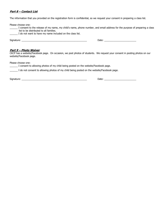# **Part 8 – Contact List**

The information that you provided on the registration form is confidential, so we request your consent in preparing a class list.

| Please choose one:<br>list to be distributed to all families.<br>I do not want to have my name included on the class list.                                                                                                     | I consent to the release of my name, my child's name, phone number, and email address for the purpose of preparing a class  |
|--------------------------------------------------------------------------------------------------------------------------------------------------------------------------------------------------------------------------------|-----------------------------------------------------------------------------------------------------------------------------|
| Signature: the contract of the contract of the contract of the contract of the contract of the contract of the contract of the contract of the contract of the contract of the contract of the contract of the contract of the |                                                                                                                             |
| <u> Part 9 – Photo Waiver</u><br>website/Facebook page.                                                                                                                                                                        | CKCP has a website/Facebook page. On occasion, we post photos of students. We request your consent in posting photos on our |
| Please choose one:                                                                                                                                                                                                             |                                                                                                                             |

| I consent to allowing photos of my child being posted on the website/Facebook page.        |  |  |  |
|--------------------------------------------------------------------------------------------|--|--|--|
| I do not consent to allowing photos of my child being posted on the website/Facebook page. |  |  |  |

Signature: \_\_\_\_\_\_\_\_\_\_\_\_\_\_\_\_\_\_\_\_\_\_\_\_\_\_\_\_\_\_\_\_\_\_\_\_\_\_\_\_\_\_\_\_\_\_\_\_\_ Date: \_\_\_\_\_\_\_\_\_\_\_\_\_\_\_\_\_\_\_\_\_\_\_\_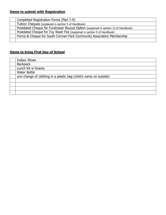# **Items to submit with Registration**

| Completed Registration Forms (Part 1-9)                                             |
|-------------------------------------------------------------------------------------|
| Tuition Cheques (explained in section 5 of Handbook)                                |
| Postdated Cheque for Fundraiser Buyout Option (explained in section 13 of Handbook) |
| Postdated Cheque for Toy Wash Fee (explained in section 9 of Handbook)              |
| Forms & Cheque for South Corman Park Community Association Membership               |
|                                                                                     |

# **Items to bring First Day of School**

| <b>Indoor Shoes</b>                                               |
|-------------------------------------------------------------------|
| <b>Backpack</b>                                                   |
| Lunch Kit w Snacks                                                |
| <b>Water Bottle</b>                                               |
| one change of clothing in a plastic bag (child's name on outside) |
|                                                                   |
|                                                                   |
|                                                                   |
|                                                                   |